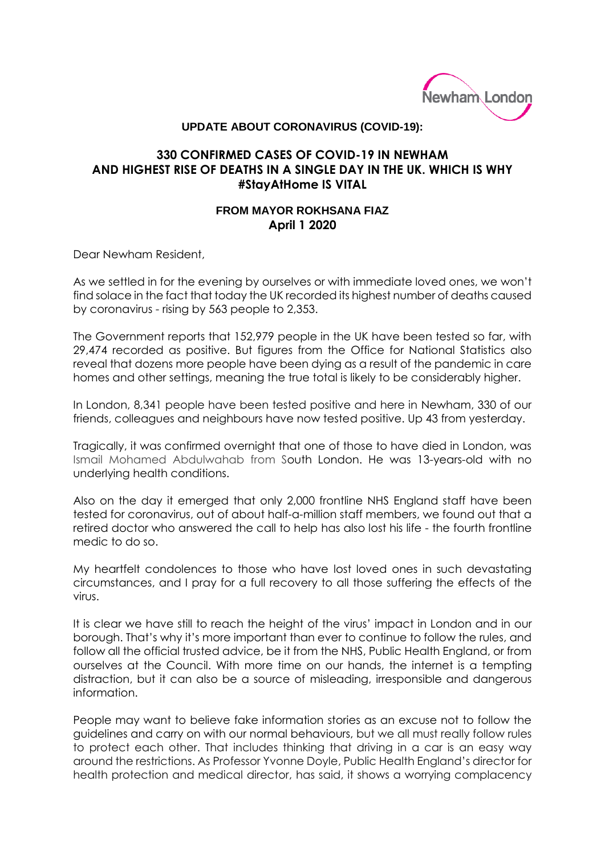

## **UPDATE ABOUT CORONAVIRUS (COVID-19):**

## **330 CONFIRMED CASES OF COVID-19 IN NEWHAM AND HIGHEST RISE OF DEATHS IN A SINGLE DAY IN THE UK. WHICH IS WHY #StayAtHome IS VITAL**

## **FROM MAYOR ROKHSANA FIAZ April 1 2020**

Dear Newham Resident,

As we settled in for the evening by ourselves or with immediate loved ones, we won't find solace in the fact that today the UK recorded its highest number of deaths caused by coronavirus - rising by 563 people to 2,353.

The Government reports that 152,979 people in the UK have been tested so far, with 29,474 recorded as positive. But figures from the Office for National Statistics also reveal that dozens more people have been dying as a result of the pandemic in care homes and other settings, meaning the true total is likely to be considerably higher.

In London, 8,341 people have been tested positive and here in Newham, 330 of our friends, colleagues and neighbours have now tested positive. Up 43 from yesterday.

Tragically, it was confirmed overnight that one of those to have died in London, was Ismail Mohamed Abdulwahab from South London. He was 13-years-old with no underlying health conditions.

Also on the day it emerged that only 2,000 frontline NHS England staff have been tested for coronavirus, out of about half-a-million staff members, we found out that a retired doctor who answered the call to help has also lost his life - the fourth frontline medic to do so.

My heartfelt condolences to those who have lost loved ones in such devastating circumstances, and I pray for a full recovery to all those suffering the effects of the virus.

It is clear we have still to reach the height of the virus' impact in London and in our borough. That's why it's more important than ever to continue to follow the rules, and follow all the official trusted advice, be it from the NHS, Public Health England, or from ourselves at the Council. With more time on our hands, the internet is a tempting distraction, but it can also be a source of misleading, irresponsible and dangerous information.

People may want to believe fake information stories as an excuse not to follow the guidelines and carry on with our normal behaviours, but we all must really follow rules to protect each other. That includes thinking that driving in a car is an easy way around the restrictions. As Professor Yvonne Doyle, Public Health England's director for health protection and medical director, has said, it shows a worrying complacency